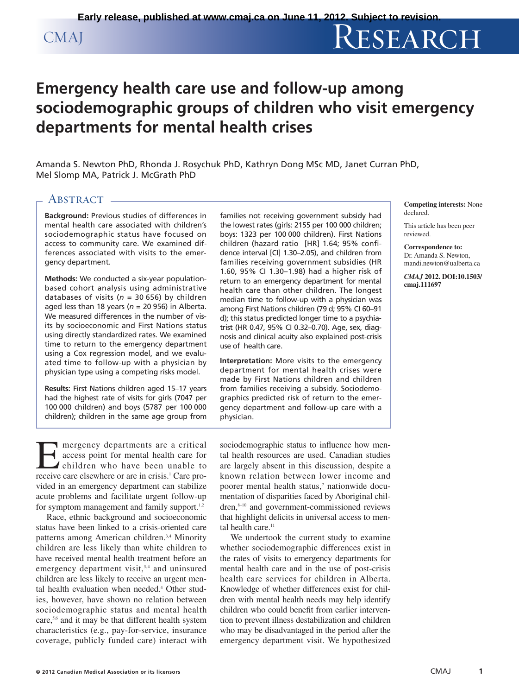# CMAJ RESEARCH

## **Emergency health care use and follow-up among sociodemographic groups of children who visit emergency departments for mental health crises**

Amanda S. Newton PhD, Rhonda J. Rosychuk PhD, Kathryn Dong MSc MD, Janet Curran PhD, Mel Slomp MA, Patrick J. McGrath PhD

### ABSTRACT -

**Background:** Previous studies of differences in mental health care associated with children's sociodemographic status have focused on access to community care. We examined differences associated with visits to the emergency department.

**Methods:** We conducted a six-year populationbased cohort analysis using administrative databases of visits ( $n = 30656$ ) by children aged less than 18 years ( $n = 20$  956) in Alberta. We measured differences in the number of visits by socioeconomic and First Nations status using directly standardized rates. We examined time to return to the emergency department using a Cox regression model, and we evaluated time to follow-up with a physician by physician type using a competing risks model.

**Results:** First Nations children aged 15–17 years had the highest rate of visits for girls (7047 per 100 000 children) and boys (5787 per 100 000 children); children in the same age group from families not receiving government subsidy had the lowest rates (girls: 2155 per 100 000 children; boys: 1323 per 100 000 children). First Nations children (hazard ratio [HR] 1.64; 95% confidence interval [CI] 1.30–2.05), and children from families receiving government subsidies (HR 1.60, 95% CI 1.30–1.98) had a higher risk of return to an emergency department for mental health care than other children. The longest median time to follow-up with a physician was among First Nations children (79 d; 95% CI 60–91 d); this status predicted longer time to a psychiatrist (HR 0.47, 95% CI 0.32–0.70). Age, sex, diagnosis and clinical acuity also explained post-crisis use of health care.

**Interpretation:** More visits to the emergency department for mental health crises were made by First Nations children and children from families receiving a subsidy. Sociodemographics predicted risk of return to the emergency department and follow-up care with a physician.

**Competing interests:** None declared.

This article has been peer reviewed.

**Correspondence to:**  Dr. Amanda S. Newton, mandi.newton@ualberta.ca

*CMAJ* **2012. DOI:10.1503/ cmaj.111697**

E mergency departments are a critical<br>access point for mental health care for<br>children who have been unable to<br>receive care elsewhere or are in crisis.<sup>1</sup> Care proaccess point for mental health care for children who have been unable to receive care elsewhere or are in crisis.<sup>1</sup> Care provided in an emergency department can stabilize acute problems and facilitate urgent follow-up for symptom management and family support.<sup>1,2</sup>

Race, ethnic background and socioeconomic status have been linked to a crisis-oriented care patterns among American children.<sup>3,4</sup> Minority children are less likely than white children to have received mental health treatment before an emergency department visit,<sup>3,4</sup> and uninsured children are less likely to receive an urgent mental health evaluation when needed.<sup>4</sup> Other studies, however, have shown no relation between sociodemographic status and mental health care,<sup>5,6</sup> and it may be that different health system characteristics (e.g., pay-for-service, insurance coverage, publicly funded care) interact with sociodemographic status to influence how mental health resources are used. Canadian studies are largely absent in this discussion, despite a known relation between lower income and poorer mental health status,<sup>7</sup> nationwide documentation of disparities faced by Aboriginal children,<sup>8-10</sup> and government-commissioned reviews that highlight deficits in universal access to mental health care.<sup>11</sup>

We undertook the current study to examine whether sociodemographic differences exist in the rates of visits to emergency departments for mental health care and in the use of post-crisis health care services for children in Alberta. Knowledge of whether differences exist for children with mental health needs may help identify children who could benefit from earlier intervention to prevent illness destabilization and children who may be disadvantaged in the period after the emergency department visit. We hypothesized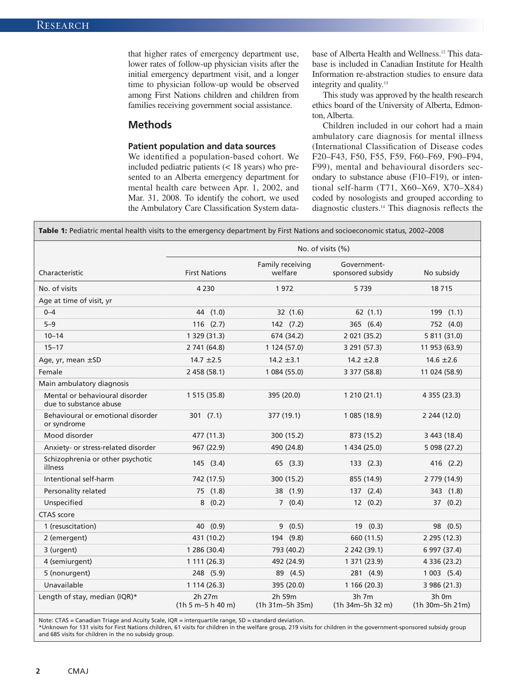that higher rates of emergency department use, lower rates of follow-up physician visits after the initial emergency department visit, and a longer time to physician follow-up would be observed among First Nations children and children from families receiving government social assistance.

#### **Methods**

#### **Patient population and data sources**

We identified a population-based cohort. We included pediatric patients (< 18 years) who presented to an Alberta emergency department for mental health care between Apr. 1, 2002, and Mar. 31, 2008. To identify the cohort, we used the Ambulatory Care Classification System database of Alberta Health and Wellness.12 This database is included in Canadian Institute for Health Information re-abstraction studies to ensure data integrity and quality.<sup>13</sup>

This study was approved by the health research ethics board of the University of Alberta, Edmonton, Alberta.

Children included in our cohort had a main ambulatory care diagnosis for mental illness (International Classification of Disease codes F20–F43, F50, F55, F59, F60–F69, F90–F94, F99), mental and behavioural disorders secondary to substance abuse (F10–F19), or intentional self-harm (T71, X60–X69, X70–X84) coded by nosologists and grouped according to diagnostic clusters.14 This diagnosis reflects the

**Table 1:** Pediatric mental health visits to the emergency department by First Nations and socioeconomic status, 2002–2008

|                                                          | No. of visits (%)             |                             |                                  |                                 |  |
|----------------------------------------------------------|-------------------------------|-----------------------------|----------------------------------|---------------------------------|--|
| Characteristic                                           | <b>First Nations</b>          | Family receiving<br>welfare | Government-<br>sponsored subsidy | No subsidy                      |  |
| No. of visits                                            | 4 2 3 0                       | 1972                        | 5739                             | 18715                           |  |
| Age at time of visit, yr                                 |                               |                             |                                  |                                 |  |
| $0 - 4$                                                  | 44 (1.0)                      | 32 (1.6)                    | 62(1.1)                          | 199 (1.1)                       |  |
| $5 - 9$                                                  | $116$ $(2.7)$                 | 142 (7.2)                   | 365 (6.4)                        | 752 (4.0)                       |  |
| $10 - 14$                                                | 1 329 (31.3)                  | 674 (34.2)                  | 2 0 21 (35.2)                    | 5 811 (31.0)                    |  |
| $15 - 17$                                                | 2 741 (64.8)                  | 1 124 (57.0)                | 3 291 (57.3)                     | 11 953 (63.9)                   |  |
| Age, yr, mean $\pm$ SD                                   | $14.7 \pm 2.5$                | $14.2 \pm 3.1$              | $14.2 \pm 2.8$                   | $14.6 \pm 2.6$                  |  |
| Female                                                   | 2 458 (58.1)                  | 1 084 (55.0)                | 3 377 (58.8)                     | 11 024 (58.9)                   |  |
| Main ambulatory diagnosis                                |                               |                             |                                  |                                 |  |
| Mental or behavioural disorder<br>due to substance abuse | 1 515 (35.8)                  | 395 (20.0)                  | 1210(21.1)                       | 4 355 (23.3)                    |  |
| Behavioural or emotional disorder<br>or syndrome         | 301(7.1)                      | 377 (19.1)                  | 1 085 (18.9)                     | 2 244 (12.0)                    |  |
| Mood disorder                                            | 477 (11.3)                    | 300 (15.2)                  | 873 (15.2)                       | 3 443 (18.4)                    |  |
| Anxiety- or stress-related disorder                      | 967 (22.9)                    | 490 (24.8)                  | 1 434 (25.0)                     | 5 098 (27.2)                    |  |
| Schizophrenia or other psychotic<br>illness              | 145(3.4)                      | 65(3.3)                     | 133(2.3)                         | 416 (2.2)                       |  |
| Intentional self-harm                                    | 742 (17.5)                    | 300 (15.2)                  | 855 (14.9)                       | 2 779 (14.9)                    |  |
| Personality related                                      | 75 (1.8)                      | 38 (1.9)                    | 137(2.4)                         | 343 (1.8)                       |  |
| Unspecified                                              | 8(0.2)                        | 7(0.4)                      | 12(0.2)                          | 37(0.2)                         |  |
| <b>CTAS</b> score                                        |                               |                             |                                  |                                 |  |
| 1 (resuscitation)                                        | 40 (0.9)                      | 9(0.5)                      | 19 (0.3)                         | 98 (0.5)                        |  |
| 2 (emergent)                                             | 431 (10.2)                    | 194 (9.8)                   | 660 (11.5)                       | 2 295 (12.3)                    |  |
| 3 (urgent)                                               | 1 286 (30.4)                  | 793 (40.2)                  | 2 242 (39.1)                     | 6 997 (37.4)                    |  |
| 4 (semiurgent)                                           | 1111(26.3)                    | 492 (24.9)                  | 1 371 (23.9)                     | 4 336 (23.2)                    |  |
| 5 (nonurgent)                                            | 248 (5.9)                     | 89 (4.5)                    | 281 (4.9)                        | 1003(5.4)                       |  |
| Unavailable                                              | 1 114 (26.3)                  | 395 (20.0)                  | 1166(20.3)                       | 3 986 (21.3)                    |  |
| Length of stay, median (IQR)*                            | 2h 27m<br>$(1h 5 m-5 h 40 m)$ | 2h 59m<br>$(1h 31m-5h 35m)$ | $3h$ 7m<br>$(1h)$ 34m-5h 32 m)   | $3h$ 0 $m$<br>$(1h 30m-5h 21m)$ |  |

Note: CTAS = Canadian Triage and Acuity Scale, IQR = interquartile range, SD = standard deviation.

\*Unknown for 131 visits for First Nations children, 61 visits for children in the welfare group, 219 visits for children in the government-sponsored subsidy group and 685 visits for children in the no subsidy group.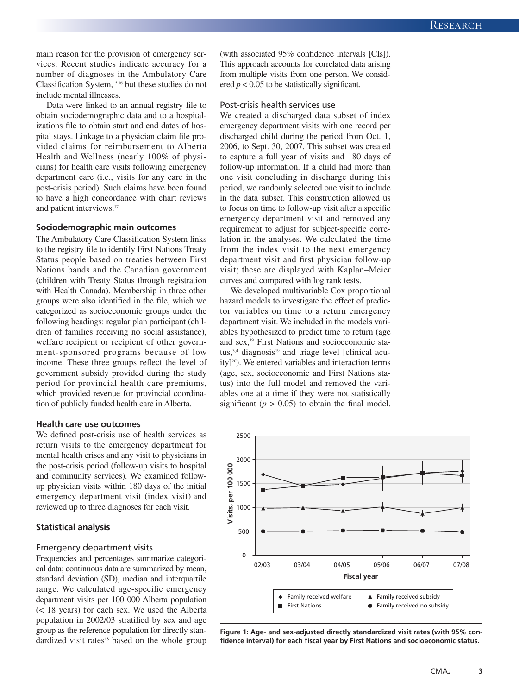main reason for the provision of emergency services. Recent studies indicate accuracy for a number of diagnoses in the Ambulatory Care Classification System,<sup>15,16</sup> but these studies do not include mental illnesses.

Data were linked to an annual registry file to obtain sociodemographic data and to a hospitalizations file to obtain start and end dates of hospital stays. Linkage to a physician claim file provided claims for reimbursement to Alberta Health and Wellness (nearly 100% of physicians) for health care visits following emergency department care (i.e., visits for any care in the post-crisis period). Such claims have been found to have a high concordance with chart reviews and patient interviews.<sup>17</sup>

#### **Sociodemographic main outcomes**

The Ambulatory Care Classification System links to the registry file to identify First Nations Treaty Status people based on treaties between First Nations bands and the Canadian government (children with Treaty Status through registration with Health Canada). Membership in three other groups were also identified in the file, which we categorized as socioeconomic groups under the following headings: regular plan participant (children of families receiving no social assistance), welfare recipient or recipient of other government-sponsored programs because of low income. These three groups reflect the level of government subsidy provided during the study period for provincial health care premiums, which provided revenue for provincial coordination of publicly funded health care in Alberta.

#### **Health care use outcomes**

We defined post-crisis use of health services as return visits to the emergency department for mental health crises and any visit to physicians in the post-crisis period (follow-up visits to hospital and community services). We examined followup physician visits within 180 days of the initial emergency department visit (index visit) and reviewed up to three diagnoses for each visit.

#### **Statistical analysis**

#### Emergency department visits

Frequencies and percentages summarize categorical data; continuous data are summarized by mean, standard deviation (SD), median and interquartile range. We calculated age-specific emergency department visits per 100 000 Alberta population (< 18 years) for each sex. We used the Alberta population in 2002/03 stratified by sex and age group as the reference population for directly standardized visit rates<sup>18</sup> based on the whole group (with associated 95% confidence intervals [CIs]). This approach accounts for correlated data arising from multiple visits from one person. We considered  $p < 0.05$  to be statistically significant.

#### Post-crisis health services use

We created a discharged data subset of index emergency department visits with one record per discharged child during the period from Oct. 1, 2006, to Sept. 30, 2007. This subset was created to capture a full year of visits and 180 days of follow-up information. If a child had more than one visit concluding in discharge during this period, we randomly selected one visit to include in the data subset. This construction allowed us to focus on time to follow-up visit after a specific emergency department visit and removed any requirement to adjust for subject-specific correlation in the analyses. We calculated the time from the index visit to the next emergency department visit and first physician follow-up visit; these are displayed with Kaplan–Meier curves and compared with log rank tests.

We developed multivariable Cox proportional hazard models to investigate the effect of predictor variables on time to a return emergency department visit. We included in the models variables hypothesized to predict time to return (age and sex,<sup>19</sup> First Nations and socioeconomic status,<sup>3,4</sup> diagnosis<sup>19</sup> and triage level [clinical acuity] $20$ ). We entered variables and interaction terms (age, sex, socioeconomic and First Nations status) into the full model and removed the variables one at a time if they were not statistically significant  $(p > 0.05)$  to obtain the final model.



**Figure 1: Age- and sex-adjusted directly standardized visit rates (with 95% confidence interval) for each fiscal year by First Nations and socioeconomic status.**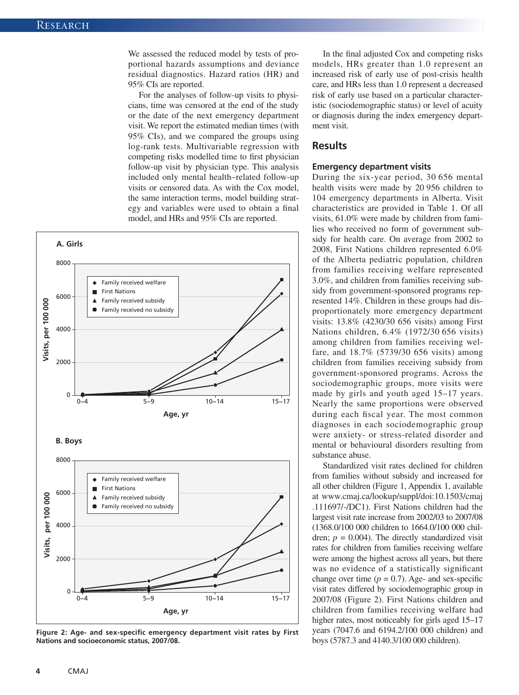We assessed the reduced model by tests of proportional hazards assumptions and deviance residual diagnostics. Hazard ratios (HR) and 95% CIs are reported.

For the analyses of follow-up visits to physicians, time was censored at the end of the study or the date of the next emergency department visit. We report the estimated median times (with 95% CIs), and we compared the groups using log-rank tests. Multivariable regression with competing risks modelled time to first physician follow-up visit by physician type. This analysis included only mental health–related follow-up visits or censored data. As with the Cox model, the same interaction terms, model building strategy and variables were used to obtain a final model, and HRs and 95% CIs are reported.



**Figure 2: Age- and sex-specific emergency department visit rates by First Nations and socioeconomic status, 2007/08.**

In the final adjusted Cox and competing risks models, HRs greater than 1.0 represent an increased risk of early use of post-crisis health care, and HRs less than 1.0 represent a decreased risk of early use based on a particular characteristic (sociodemographic status) or level of acuity or diagnosis during the index emergency department visit.

#### **Results**

#### **Emergency department visits**

During the six-year period, 30 656 mental health visits were made by 20 956 children to 104 emergency departments in Alberta. Visit characteristics are provided in Table 1. Of all visits, 61.0% were made by children from families who received no form of government subsidy for health care. On average from 2002 to 2008, First Nations children represented 6.0% of the Alberta pediatric population, children from families receiving welfare represented 3.0%, and children from families receiving subsidy from government-sponsored programs represented 14%. Children in these groups had disproportionately more emergency department visits: 13.8% (4230/30 656 visits) among First Nations children, 6.4% (1972/30 656 visits) among children from families receiving welfare, and 18.7% (5739/30 656 visits) among children from families receiving subsidy from government-sponsored programs. Across the sociodemographic groups, more visits were made by girls and youth aged 15–17 years. Nearly the same proportions were observed during each fiscal year. The most common diagnoses in each sociodemographic group were anxiety- or stress-related disorder and mental or behavioural disorders resulting from substance abuse.

Standardized visit rates declined for children from families without subsidy and increased for all other children (Figure 1, Appendix 1, available at www.cmaj.ca/lookup/suppl/doi:10.1503/cmaj [.111697/-/DC1](http://www.cmaj.ca/lookup/suppl/doi:10.1503/cmaj.111697/-/DC1)). First Nations children had the largest visit rate increase from 2002/03 to 2007/08 (1368.0/100 000 children to 1664.0/100 000 children;  $p = 0.004$ ). The directly standardized visit rates for children from families receiving welfare were among the highest across all years, but there was no evidence of a statistically significant change over time  $(p = 0.7)$ . Age- and sex-specific visit rates differed by sociodemographic group in 2007/08 (Figure 2). First Nations children and children from families receiving welfare had higher rates, most noticeably for girls aged 15–17 years (7047.6 and 6194.2/100 000 children) and boys (5787.3 and 4140.3/100 000 children).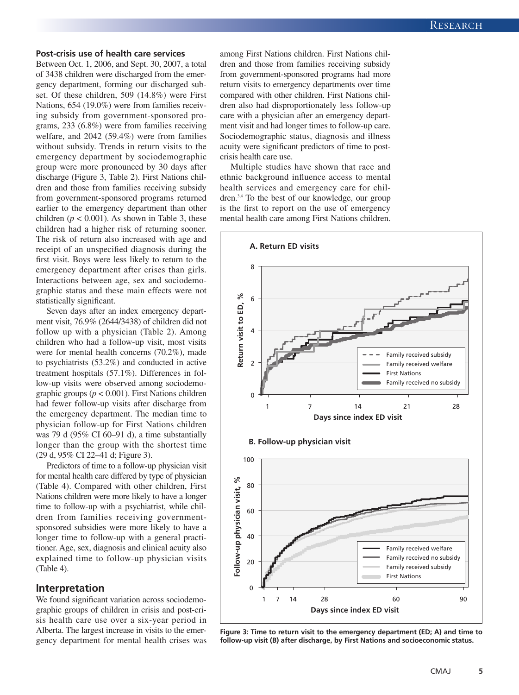#### **Post-crisis use of health care services**

Between Oct. 1, 2006, and Sept. 30, 2007, a total of 3438 children were discharged from the emergency department, forming our discharged subset. Of these children, 509 (14.8%) were First Nations, 654 (19.0%) were from families receiving subsidy from government-sponsored programs, 233 (6.8%) were from families receiving welfare, and 2042 (59.4%) were from families without subsidy. Trends in return visits to the emergency department by sociodemographic group were more pronounced by 30 days after discharge (Figure 3, Table 2). First Nations children and those from families receiving subsidy from government-sponsored programs returned earlier to the emergency department than other children ( $p < 0.001$ ). As shown in Table 3, these children had a higher risk of returning sooner. The risk of return also increased with age and receipt of an unspecified diagnosis during the first visit. Boys were less likely to return to the emergency department after crises than girls. Interactions between age, sex and sociodemographic status and these main effects were not statistically significant.

Seven days after an index emergency department visit, 76.9% (2644/3438) of children did not follow up with a physician (Table 2). Among children who had a follow-up visit, most visits were for mental health concerns (70.2%), made to psychiatrists (53.2%) and conducted in active treatment hospitals (57.1%). Differences in follow-up visits were observed among sociodemographic groups (*p* < 0.001). First Nations children had fewer follow-up visits after discharge from the emergency department. The median time to physician follow-up for First Nations children was 79 d (95% CI 60–91 d), a time substantially longer than the group with the shortest time (29 d, 95% CI 22–41 d; Figure 3).

Predictors of time to a follow-up physician visit for mental health care differed by type of physician (Table 4). Compared with other children, First Nations children were more likely to have a longer time to follow-up with a psychiatrist, while children from families receiving governmentsponsored subsidies were more likely to have a longer time to follow-up with a general practitioner. Age, sex, diagnosis and clinical acuity also explained time to follow-up physician visits (Table 4).

#### **Interpretation**

We found significant variation across sociodemographic groups of children in crisis and post-crisis health care use over a six-year period in Alberta. The largest increase in visits to the emergency department for mental health crises was among First Nations children. First Nations children and those from families receiving subsidy from government-sponsored programs had more return visits to emergency departments over time compared with other children. First Nations children also had disproportionately less follow-up care with a physician after an emergency department visit and had longer times to follow-up care. Sociodemographic status, diagnosis and illness acuity were significant predictors of time to postcrisis health care use.

Multiple studies have shown that race and ethnic background influence access to mental health services and emergency care for children.3,4 To the best of our knowledge, our group is the first to report on the use of emergency mental health care among First Nations children.



**Figure 3: Time to return visit to the emergency department (ED; A) and time to follow-up visit (B) after discharge, by First Nations and socioeconomic status.**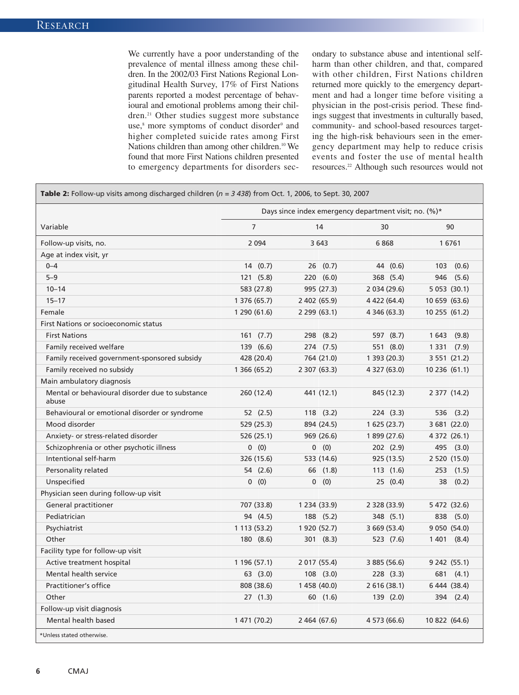We currently have a poor understanding of the prevalence of mental illness among these children. In the 2002/03 First Nations Regional Longitudinal Health Survey, 17% of First Nations parents reported a modest percentage of behavioural and emotional problems among their children.<sup>21</sup> Other studies suggest more substance use,<sup>8</sup> more symptoms of conduct disorder<sup>9</sup> and higher completed suicide rates among First Nations children than among other children.<sup>10</sup> We found that more First Nations children presented to emergency departments for disorders secondary to substance abuse and intentional selfharm than other children, and that, compared with other children, First Nations children returned more quickly to the emergency department and had a longer time before visiting a physician in the post-crisis period. These findings suggest that investments in culturally based, community- and school-based resources targeting the high-risk behaviours seen in the emergency department may help to reduce crisis events and foster the use of mental health resources.22 Although such resources would not

|                                                          | Days since index emergency department visit; no. (%)* |                |              |                |
|----------------------------------------------------------|-------------------------------------------------------|----------------|--------------|----------------|
| Variable                                                 | $\overline{7}$                                        | 14             | 30           | 90             |
| Follow-up visits, no.                                    | 2 0 9 4                                               | 3 643          | 6868         | 16761          |
| Age at index visit, yr                                   |                                                       |                |              |                |
| $0 - 4$                                                  | 14<br>(0.7)                                           | 26<br>(0.7)    | (0.6)<br>44  | 103<br>(0.6)   |
| $5 - 9$                                                  | 121(5.8)                                              | 220(6.0)       | 368 (5.4)    | 946<br>(5.6)   |
| $10 - 14$                                                | 583 (27.8)                                            | 995 (27.3)     | 2 034 (29.6) | 5 0 53 (30.1)  |
| $15 - 17$                                                | 1 376 (65.7)                                          | 2 402 (65.9)   | 4 422 (64.4) | 10 659 (63.6)  |
| Female                                                   | 1 290 (61.6)                                          | 2 299 (63.1)   | 4 346 (63.3) | 10 255 (61.2)  |
| First Nations or socioeconomic status                    |                                                       |                |              |                |
| <b>First Nations</b>                                     | 161(7.7)                                              | 298 (8.2)      | 597 (8.7)    | 1 643<br>(9.8) |
| Family received welfare                                  | 139 (6.6)                                             | 274 (7.5)      | 551 (8.0)    | 1 3 3 1 (7.9)  |
| Family received government-sponsored subsidy             | 428 (20.4)                                            | 764 (21.0)     | 1 393 (20.3) | 3 551 (21.2)   |
| Family received no subsidy                               | 1 366 (65.2)                                          | 2 307 (63.3)   | 4 327 (63.0) | 10 236 (61.1)  |
| Main ambulatory diagnosis                                |                                                       |                |              |                |
| Mental or behavioural disorder due to substance<br>abuse | 260 (12.4)                                            | 441 (12.1)     | 845 (12.3)   | 2 377 (14.2)   |
| Behavioural or emotional disorder or syndrome            | 52(2.5)                                               | 118(3.2)       | 224(3.3)     | 536 (3.2)      |
| Mood disorder                                            | 529 (25.3)                                            | 894 (24.5)     | 1625(23.7)   | 3 681 (22.0)   |
| Anxiety- or stress-related disorder                      | 526 (25.1)                                            | 969 (26.6)     | 1 899 (27.6) | 4 372 (26.1)   |
| Schizophrenia or other psychotic illness                 | 0(0)                                                  | 0(0)           | 202(2.9)     | 495 (3.0)      |
| Intentional self-harm                                    | 326 (15.6)                                            | 533 (14.6)     | 925 (13.5)   | 2 520 (15.0)   |
| Personality related                                      | 54 (2.6)                                              | 66 (1.8)       | 113(1.6)     | 253<br>(1.5)   |
| Unspecified                                              | 0(0)                                                  | 0 (0)          | 25 (0.4)     | 38<br>(0.2)    |
| Physician seen during follow-up visit                    |                                                       |                |              |                |
| General practitioner                                     | 707 (33.8)                                            | 1 2 34 (3 3.9) | 2 328 (33.9) | 5 472 (32.6)   |
| Pediatrician                                             | 94 (4.5)                                              | 188 (5.2)      | 348 (5.1)    | 838<br>(5.0)   |
| Psychiatrist                                             | 1 113 (53.2)                                          | 1 920 (52.7)   | 3 669 (53.4) | 9 0 50 (54.0)  |
| Other                                                    | 180 (8.6)                                             | 301(8.3)       | 523 (7.6)    | 1401<br>(8.4)  |
| Facility type for follow-up visit                        |                                                       |                |              |                |
| Active treatment hospital                                | 1 196 (57.1)                                          | 2 017 (55.4)   | 3 885 (56.6) | 9242(55.1)     |
| Mental health service                                    | 63(3.0)                                               | $108$ $(3.0)$  | 228(3.3)     | 681<br>(4.1)   |
| Practitioner's office                                    | 808 (38.6)                                            | 1 458 (40.0)   | 2 616 (38.1) | 6 444 (38.4)   |
| Other                                                    | 27(1.3)                                               | 60 (1.6)       | 139(2.0)     | 394 (2.4)      |
| Follow-up visit diagnosis                                |                                                       |                |              |                |
| Mental health based                                      | 1 471 (70.2)                                          | 2 464 (67.6)   | 4 573 (66.6) | 10 822 (64.6)  |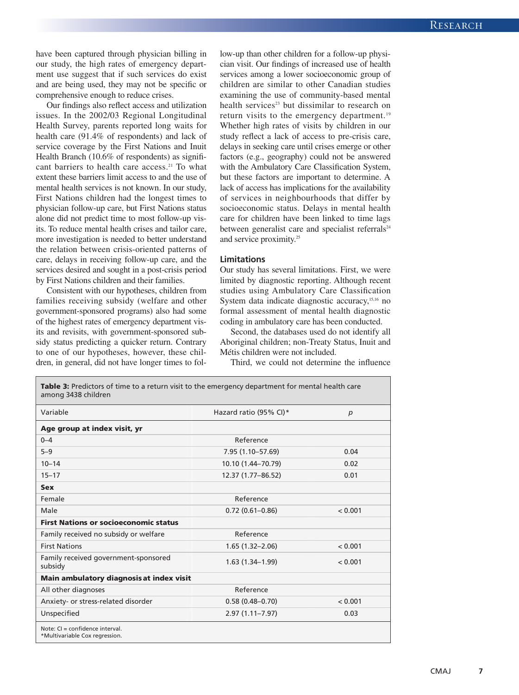have been captured through physician billing in our study, the high rates of emergency department use suggest that if such services do exist and are being used, they may not be specific or comprehensive enough to reduce crises.

Our findings also reflect access and utilization issues. In the 2002/03 Regional Longitudinal Health Survey, parents reported long waits for health care (91.4% of respondents) and lack of service coverage by the First Nations and Inuit Health Branch (10.6% of respondents) as significant barriers to health care access.<sup>21</sup> To what extent these barriers limit access to and the use of mental health services is not known. In our study, First Nations children had the longest times to physician follow-up care, but First Nations status alone did not predict time to most follow-up visits. To reduce mental health crises and tailor care, more investigation is needed to better understand the relation between crisis-oriented patterns of care, delays in receiving follow-up care, and the services desired and sought in a post-crisis period by First Nations children and their families.

Consistent with our hypotheses, children from families receiving subsidy (welfare and other government-sponsored programs) also had some of the highest rates of emergency department visits and revisits, with government-sponsored subsidy status predicting a quicker return. Contrary to one of our hypotheses, however, these children, in general, did not have longer times to follow-up than other children for a follow-up physician visit. Our findings of increased use of health services among a lower socioeconomic group of children are similar to other Canadian studies examining the use of community-based mental health services<sup>23</sup> but dissimilar to research on return visits to the emergency department.<sup>19</sup> Whether high rates of visits by children in our study reflect a lack of access to pre-crisis care, delays in seeking care until crises emerge or other factors (e.g., geography) could not be answered with the Ambulatory Care Classification System, but these factors are important to determine. A lack of access has implications for the availability of services in neighbourhoods that differ by socioeconomic status. Delays in mental health care for children have been linked to time lags between generalist care and specialist referrals<sup>24</sup> and service proximity.<sup>25</sup>

#### **Limitations**

Our study has several limitations. First, we were limited by diagnostic reporting. Although recent studies using Ambulatory Care Classification System data indicate diagnostic accuracy,<sup>15,16</sup> no formal assessment of mental health diagnostic coding in ambulatory care has been conducted.

Second, the databases used do not identify all Aboriginal children; non-Treaty Status, Inuit and Métis children were not included.

Third, we could not determine the influence

| Table 3: Predictors of time to a return visit to the emergency department for mental health care<br>among 3438 children |                        |         |  |
|-------------------------------------------------------------------------------------------------------------------------|------------------------|---------|--|
| Variable                                                                                                                | Hazard ratio (95% CI)* | p       |  |
| Age group at index visit, yr                                                                                            |                        |         |  |
| $0 - 4$                                                                                                                 | Reference              |         |  |
| $5 - 9$                                                                                                                 | 7.95 (1.10-57.69)      | 0.04    |  |
| $10 - 14$                                                                                                               | 10.10 (1.44-70.79)     | 0.02    |  |
| $15 - 17$                                                                                                               | 12.37 (1.77-86.52)     | 0.01    |  |
| <b>Sex</b>                                                                                                              |                        |         |  |
| Female                                                                                                                  | Reference              |         |  |
| Male                                                                                                                    | $0.72(0.61 - 0.86)$    | < 0.001 |  |
| <b>First Nations or socioeconomic status</b>                                                                            |                        |         |  |
| Reference<br>Family received no subsidy or welfare                                                                      |                        |         |  |
| <b>First Nations</b>                                                                                                    | $1.65(1.32 - 2.06)$    | < 0.001 |  |
| Family received government-sponsored<br>subsidy                                                                         | $1.63(1.34 - 1.99)$    | < 0.001 |  |
| Main ambulatory diagnosis at index visit                                                                                |                        |         |  |
| All other diagnoses                                                                                                     | Reference              |         |  |
| Anxiety- or stress-related disorder                                                                                     | $0.58(0.48 - 0.70)$    | < 0.001 |  |
| Unspecified                                                                                                             | $2.97(1.11 - 7.97)$    | 0.03    |  |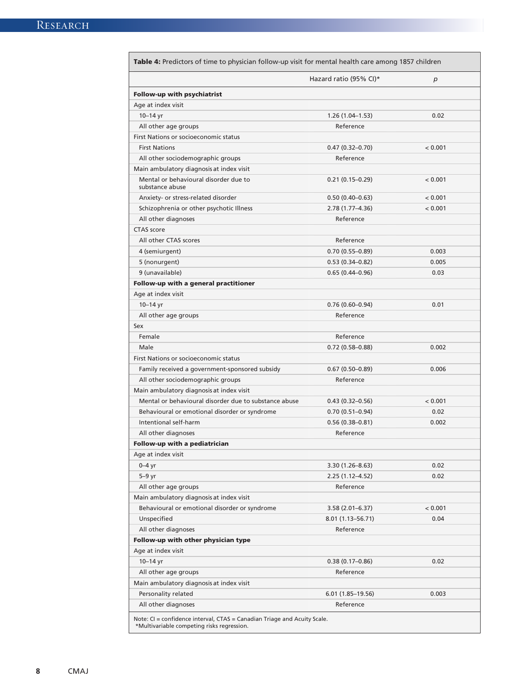| Table 4: Predictors of time to physician follow-up visit for mental health care among 1857 children                    |                        |         |  |  |
|------------------------------------------------------------------------------------------------------------------------|------------------------|---------|--|--|
|                                                                                                                        | Hazard ratio (95% CI)* | p       |  |  |
| Follow-up with psychiatrist                                                                                            |                        |         |  |  |
| Age at index visit                                                                                                     |                        |         |  |  |
| $10 - 14$ yr                                                                                                           | $1.26(1.04-1.53)$      | 0.02    |  |  |
| All other age groups                                                                                                   | Reference              |         |  |  |
| First Nations or socioeconomic status                                                                                  |                        |         |  |  |
| <b>First Nations</b>                                                                                                   | $0.47(0.32 - 0.70)$    | < 0.001 |  |  |
| All other sociodemographic groups                                                                                      | Reference              |         |  |  |
| Main ambulatory diagnosis at index visit                                                                               |                        |         |  |  |
| Mental or behavioural disorder due to<br>substance abuse                                                               | $0.21(0.15-0.29)$      | < 0.001 |  |  |
| Anxiety- or stress-related disorder                                                                                    | $0.50(0.40-0.63)$      | < 0.001 |  |  |
| Schizophrenia or other psychotic Illness                                                                               | 2.78 (1.77–4.36)       | < 0.001 |  |  |
| All other diagnoses                                                                                                    | Reference              |         |  |  |
| CTAS score                                                                                                             |                        |         |  |  |
| All other CTAS scores                                                                                                  | Reference              |         |  |  |
| 4 (semiurgent)                                                                                                         | $0.70(0.55 - 0.89)$    | 0.003   |  |  |
| 5 (nonurgent)                                                                                                          | $0.53(0.34 - 0.82)$    | 0.005   |  |  |
| 9 (unavailable)                                                                                                        | $0.65(0.44 - 0.96)$    | 0.03    |  |  |
| Follow-up with a general practitioner                                                                                  |                        |         |  |  |
| Age at index visit                                                                                                     |                        |         |  |  |
| $10 - 14$ yr                                                                                                           | $0.76(0.60 - 0.94)$    | 0.01    |  |  |
| All other age groups                                                                                                   | Reference              |         |  |  |
| Sex                                                                                                                    |                        |         |  |  |
| Female                                                                                                                 | Reference              |         |  |  |
| Male                                                                                                                   | $0.72(0.58 - 0.88)$    | 0.002   |  |  |
| First Nations or socioeconomic status                                                                                  |                        |         |  |  |
| Family received a government-sponsored subsidy                                                                         | $0.67(0.50-0.89)$      | 0.006   |  |  |
| All other sociodemographic groups                                                                                      | Reference              |         |  |  |
| Main ambulatory diagnosis at index visit                                                                               |                        |         |  |  |
| Mental or behavioural disorder due to substance abuse                                                                  | $0.43(0.32 - 0.56)$    | < 0.001 |  |  |
| Behavioural or emotional disorder or syndrome                                                                          | $0.70(0.51-0.94)$      | 0.02    |  |  |
| Intentional self-harm                                                                                                  | $0.56(0.38 - 0.81)$    | 0.002   |  |  |
| All other diagnoses                                                                                                    | Reference              |         |  |  |
| Follow-up with a pediatrician                                                                                          |                        |         |  |  |
| Age at index visit                                                                                                     |                        |         |  |  |
| $0-4$ yr                                                                                                               | $3.30(1.26 - 8.63)$    | 0.02    |  |  |
| $5-9$ yr                                                                                                               | $2.25(1.12 - 4.52)$    | 0.02    |  |  |
| All other age groups                                                                                                   | Reference              |         |  |  |
| Main ambulatory diagnosis at index visit                                                                               |                        |         |  |  |
| Behavioural or emotional disorder or syndrome                                                                          | $3.58(2.01 - 6.37)$    | < 0.001 |  |  |
| Unspecified                                                                                                            | 8.01 (1.13–56.71)      | 0.04    |  |  |
| All other diagnoses                                                                                                    | Reference              |         |  |  |
| Follow-up with other physician type                                                                                    |                        |         |  |  |
| Age at index visit                                                                                                     |                        |         |  |  |
| $10 - 14$ yr                                                                                                           | $0.38(0.17-0.86)$      | 0.02    |  |  |
| All other age groups                                                                                                   | Reference              |         |  |  |
| Main ambulatory diagnosis at index visit                                                                               |                        |         |  |  |
| Personality related                                                                                                    | $6.01(1.85-19.56)$     | 0.003   |  |  |
| All other diagnoses                                                                                                    | Reference              |         |  |  |
| Note: CI = confidence interval, CTAS = Canadian Triage and Acuity Scale.<br>*Multivariable competing risks regression. |                        |         |  |  |

**8** CMAJ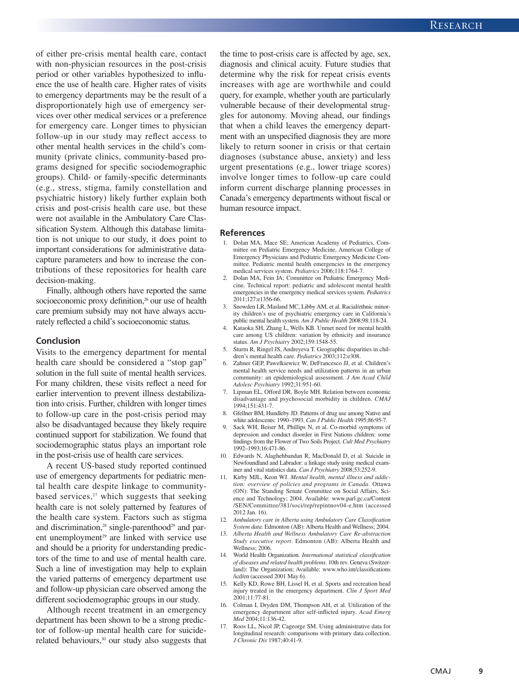of either pre-crisis mental health care, contact with non-physician resources in the post-crisis period or other variables hypothesized to influence the use of health care. Higher rates of visits to emergency departments may be the result of a disproportionately high use of emergency services over other medical services or a preference for emergency care. Longer times to physician follow-up in our study may reflect access to other mental health services in the child's community (private clinics, community-based programs designed for specific sociodemographic groups). Child- or family-specific determinants (e.g., stress, stigma, family constellation and psychiatric history) likely further explain both crisis and post-crisis health care use, but these were not available in the Ambulatory Care Classification System. Although this database limitation is not unique to our study, it does point to important considerations for administrative datacapture parameters and how to increase the contributions of these repositories for health care decision-making.

Finally, although others have reported the same socioeconomic proxy definition, $26$  our use of health care premium subsidy may not have always accurately reflected a child's socioeconomic status.

#### **Conclusion**

Visits to the emergency department for mental health care should be considered a "stop gap" solution in the full suite of mental health services. For many children, these visits reflect a need for earlier intervention to prevent illness destabilization into crisis. Further, children with longer times to follow-up care in the post-crisis period may also be disadvantaged because they likely require continued support for stabilization. We found that sociodemographic status plays an important role in the post-crisis use of health care services.

A recent US-based study reported continued use of emergency departments for pediatric mental health care despite linkage to communitybased services, $27$  which suggests that seeking health care is not solely patterned by features of the health care system. Factors such as stigma and discrimination,<sup>28</sup> single-parenthood<sup>29</sup> and parent unemployment<sup>29</sup> are linked with service use and should be a priority for understanding predictors of the time to and use of mental health care. Such a line of investigation may help to explain the varied patterns of emergency department use and follow-up physician care observed among the different sociodemographic groups in our study.

Although recent treatment in an emergency department has been shown to be a strong predictor of follow-up mental health care for suiciderelated behaviours,<sup>30</sup> our study also suggests that

the time to post-crisis care is affected by age, sex, diagnosis and clinical acuity. Future studies that determine why the risk for repeat crisis events increases with age are worthwhile and could query, for example, whether youth are particularly vulnerable because of their developmental struggles for autonomy. Moving ahead, our findings that when a child leaves the emergency department with an unspecified diagnosis they are more likely to return sooner in crisis or that certain diagnoses (substance abuse, anxiety) and less urgent presentations (e.g., lower triage scores) involve longer times to follow-up care could inform current discharge planning processes in Canada's emergency departments without fiscal or human resource impact.

#### **References**

- 1. Dolan MA, Mace SE; American Academy of Pediatrics, Committee on Pediatric Emergency Medicine, American College of Emergency Physicians and Pediatric Emergency Medicine Committee. Pediatric mental health emergencies in the emergency medical services system. *Pediatrics* 2006;118:1764-7.
- 2. Dolan MA, Fein JA; Committee on Pediatric Emergency Medicine. Technical report: pediatric and adolescent mental health emergencies in the emergency medical services system. *Pediatrics* 2011;127:e1356-66.
- 3. Snowden LR, Masland MC, Libby AM, et al. Racial/ethnic minority children's use of psychiatric emergency care in California's public mental health system. *Am J Public Health* 2008;98:118-24.
- 4. Kataoka SH, Zhang L, Wells KB. Unmet need for mental health care among US children: variation by ethnicity and insurance status. *Am J Psychiatry* 2002;159:1548-55.
- 5. Sturm R, Ringel JS, Andreyeva T. Geographic disparities in children's mental health care. *Pediatrics* 2003;112:e308.
- 6. Zahner GEP, Pawelkiewicz W, DeFrancesco JJ, et al. Children's mental health service needs and utilization patterns in an urban community: an epidemiological assessment. *J Am Acad Child Adolesc Psychiatry* 1992;31:951-60.
- 7. Lipman EL, Offord DR, Boyle MH. Relation between economic disadvantage and psychosocial morbidity in children. *CMAJ* 1994;151:431-7.
- 8. Gfellner BM, Hundleby JD. Patterns of drug use among Native and white adolescents: 1990–1993. *Can J Public Health* 1995; 86: 95-7.
- 9. Sack WH, Beiser M, Phillips N, et al. Co-morbid symptoms of depression and conduct disorder in First Nations children: some findings from the Flower of Two Soils Project. *Cult Med Psychiatry* 1992–1993;16:471-86.
- 10. Edwards N, Alaghehbandan R, MacDonald D, et al. Suicide in Newfoundland and Labrador: a linkage study using medical examiner and vital statistics data. *Can J Psychiatry* 2008;53:252-9.
- 11. Kirby MJL, Keon WJ. *Mental health, mental illness and addiction: overview of policies and programs in Canada*. Ottawa (ON): The Standing Senate Committee on Social Affairs, Science and Technology; 2004. Available: www.parl.gc.ca/Content /SEN/Committee/381/soci/rep/repintnov04-e.htm (accessed 2012 Jan. 16).
- 12. *Ambulatory care in Alberta using Ambulatory Care Classification System data*. Edmonton (AB): Alberta Health and Wellness; 2004.
- 13. *Alberta Health and Wellness Ambulatory Care Re-abstraction Study executive report*. Edmonton (AB): Alberta Health and Wellness; 2006.
- 14. World Health Organization. *International statistical classification of diseases and related health problems*. 10th rev. Geneva (Switzerland): The Organization; Available: www.who.int/classifications /icd/en (accessed 2001 May 6).
- Kelly KD, Rowe BH, Lissel H, et al. Sports and recreation head injury treated in the emergency department. *Clin J Sport Med* 2001; 11:77-81.
- 16. Colman I, Dryden DM, Thompson AH, et al. Utilization of the emergency department after self-inflicted injury. *Acad Emerg Med* 2004;11:136-42.
- 17. Roos LL, Nicol JP, Cageorge SM. Using administrative data for longitudinal research: comparisons with primary data collection. *J Chronic Dis* 1987;40:41-9.